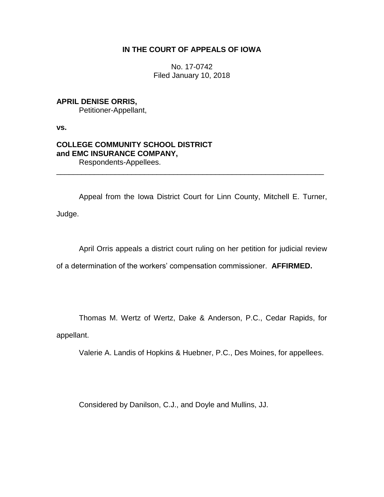## **IN THE COURT OF APPEALS OF IOWA**

No. 17-0742 Filed January 10, 2018

# **APRIL DENISE ORRIS,** Petitioner-Appellant,

**vs.**

## **COLLEGE COMMUNITY SCHOOL DISTRICT and EMC INSURANCE COMPANY,** Respondents-Appellees.

Appeal from the Iowa District Court for Linn County, Mitchell E. Turner, Judge.

\_\_\_\_\_\_\_\_\_\_\_\_\_\_\_\_\_\_\_\_\_\_\_\_\_\_\_\_\_\_\_\_\_\_\_\_\_\_\_\_\_\_\_\_\_\_\_\_\_\_\_\_\_\_\_\_\_\_\_\_\_\_\_\_

April Orris appeals a district court ruling on her petition for judicial review

of a determination of the workers' compensation commissioner. **AFFIRMED.** 

Thomas M. Wertz of Wertz, Dake & Anderson, P.C., Cedar Rapids, for

appellant.

Valerie A. Landis of Hopkins & Huebner, P.C., Des Moines, for appellees.

Considered by Danilson, C.J., and Doyle and Mullins, JJ.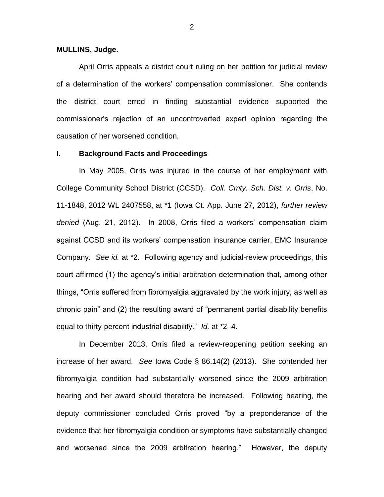#### **MULLINS, Judge.**

April Orris appeals a district court ruling on her petition for judicial review of a determination of the workers' compensation commissioner. She contends the district court erred in finding substantial evidence supported the commissioner's rejection of an uncontroverted expert opinion regarding the causation of her worsened condition.

#### **I. Background Facts and Proceedings**

In May 2005, Orris was injured in the course of her employment with College Community School District (CCSD). *Coll. Cmty. Sch. Dist. v. Orris*, No. 11-1848, 2012 WL 2407558, at \*1 (Iowa Ct. App. June 27, 2012), *further review denied* (Aug. 21, 2012). In 2008, Orris filed a workers' compensation claim against CCSD and its workers' compensation insurance carrier, EMC Insurance Company. *See id.* at \*2. Following agency and judicial-review proceedings, this court affirmed (1) the agency's initial arbitration determination that, among other things, "Orris suffered from fibromyalgia aggravated by the work injury, as well as chronic pain" and (2) the resulting award of "permanent partial disability benefits equal to thirty-percent industrial disability." *Id.* at \*2–4.

In December 2013, Orris filed a review-reopening petition seeking an increase of her award. *See* Iowa Code § 86.14(2) (2013). She contended her fibromyalgia condition had substantially worsened since the 2009 arbitration hearing and her award should therefore be increased. Following hearing, the deputy commissioner concluded Orris proved "by a preponderance of the evidence that her fibromyalgia condition or symptoms have substantially changed and worsened since the 2009 arbitration hearing." However, the deputy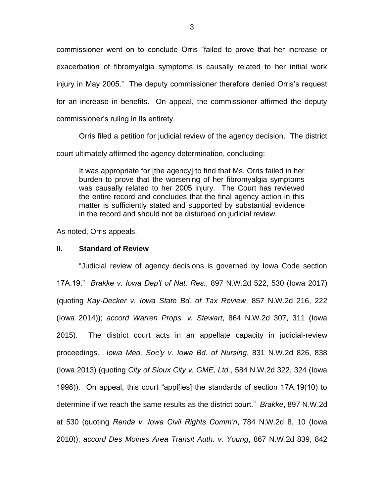commissioner went on to conclude Orris "failed to prove that her increase or exacerbation of fibromyalgia symptoms is causally related to her initial work injury in May 2005." The deputy commissioner therefore denied Orris's request for an increase in benefits. On appeal, the commissioner affirmed the deputy commissioner's ruling in its entirety.

Orris filed a petition for judicial review of the agency decision. The district court ultimately affirmed the agency determination, concluding:

It was appropriate for [the agency] to find that Ms. Orris failed in her burden to prove that the worsening of her fibromyalgia symptoms was causally related to her 2005 injury. The Court has reviewed the entire record and concludes that the final agency action in this matter is sufficiently stated and supported by substantial evidence in the record and should not be disturbed on judicial review.

As noted, Orris appeals.

#### **II. Standard of Review**

"Judicial review of agency decisions is governed by Iowa Code section 17A.19." *Brakke v. Iowa Dep't of Nat. Res.*, 897 N.W.2d 522, 530 (Iowa 2017) (quoting *Kay-Decker v. Iowa State Bd. of Tax Review*, 857 N.W.2d 216, 222 (Iowa 2014)); *accord Warren Props. v. Stewart*, 864 N.W.2d 307, 311 (Iowa 2015). The district court acts in an appellate capacity in judicial-review proceedings. *Iowa Med. Soc'y v. Iowa Bd. of Nursing*, 831 N.W.2d 826, 838 (Iowa 2013) (quoting *City of Sioux City v. GME, Ltd.*, 584 N.W.2d 322, 324 (Iowa 1998)). On appeal, this court "appl[ies] the standards of section 17A.19(10) to determine if we reach the same results as the district court." *Brakke*, 897 N.W.2d at 530 (quoting *Renda v. Iowa Civil Rights Comm'n*, 784 N.W.2d 8, 10 (Iowa 2010)); *accord Des Moines Area Transit Auth. v. Young*, 867 N.W.2d 839, 842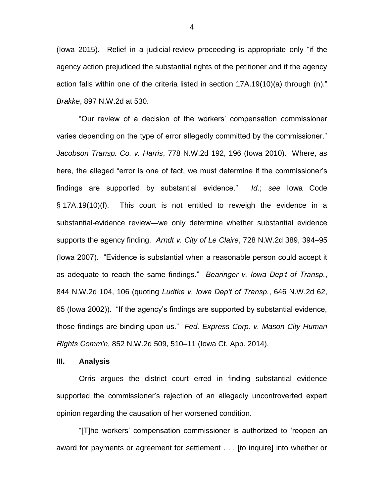(Iowa 2015). Relief in a judicial-review proceeding is appropriate only "if the agency action prejudiced the substantial rights of the petitioner and if the agency action falls within one of the criteria listed in section 17A.19(10)(a) through (n)." *Brakke*, 897 N.W.2d at 530.

"Our review of a decision of the workers' compensation commissioner varies depending on the type of error allegedly committed by the commissioner." *Jacobson Transp. Co. v. Harris*, 778 N.W.2d 192, 196 (Iowa 2010). Where, as here, the alleged "error is one of fact, we must determine if the commissioner's findings are supported by substantial evidence." *Id.*; *see* Iowa Code § 17A.19(10)(f). This court is not entitled to reweigh the evidence in a substantial-evidence review—we only determine whether substantial evidence supports the agency finding. *Arndt v. City of Le Claire*, 728 N.W.2d 389, 394–95 (Iowa 2007). "Evidence is substantial when a reasonable person could accept it as adequate to reach the same findings." *Bearinger v. Iowa Dep't of Transp.*, 844 N.W.2d 104, 106 (quoting *Ludtke v. Iowa Dep't of Transp.*, 646 N.W.2d 62, 65 (Iowa 2002)). "If the agency's findings are supported by substantial evidence, those findings are binding upon us." *Fed. Express Corp. v. Mason City Human Rights Comm'n*, 852 N.W.2d 509, 510–11 (Iowa Ct. App. 2014).

### **III. Analysis**

Orris argues the district court erred in finding substantial evidence supported the commissioner's rejection of an allegedly uncontroverted expert opinion regarding the causation of her worsened condition.

"[T]he workers' compensation commissioner is authorized to 'reopen an award for payments or agreement for settlement . . . [to inquire] into whether or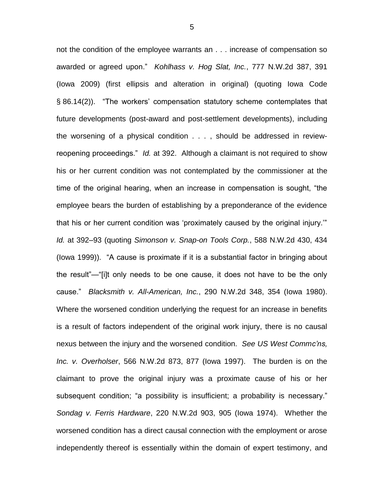not the condition of the employee warrants an . . . increase of compensation so awarded or agreed upon." *Kohlhass v. Hog Slat, Inc.*, 777 N.W.2d 387, 391 (Iowa 2009) (first ellipsis and alteration in original) (quoting Iowa Code § 86.14(2)). "The workers' compensation statutory scheme contemplates that future developments (post-award and post-settlement developments), including the worsening of a physical condition . . . , should be addressed in reviewreopening proceedings." *Id.* at 392. Although a claimant is not required to show his or her current condition was not contemplated by the commissioner at the time of the original hearing, when an increase in compensation is sought, "the employee bears the burden of establishing by a preponderance of the evidence that his or her current condition was 'proximately caused by the original injury.'" *Id.* at 392–93 (quoting *Simonson v. Snap-on Tools Corp.*, 588 N.W.2d 430, 434 (Iowa 1999)). "A cause is proximate if it is a substantial factor in bringing about the result"—"[i]t only needs to be one cause, it does not have to be the only cause." *Blacksmith v. All-American, Inc.*, 290 N.W.2d 348, 354 (Iowa 1980). Where the worsened condition underlying the request for an increase in benefits is a result of factors independent of the original work injury, there is no causal nexus between the injury and the worsened condition. *See US West Commc'ns, Inc. v. Overholser*, 566 N.W.2d 873, 877 (Iowa 1997). The burden is on the claimant to prove the original injury was a proximate cause of his or her subsequent condition; "a possibility is insufficient; a probability is necessary." *Sondag v. Ferris Hardware*, 220 N.W.2d 903, 905 (Iowa 1974). Whether the worsened condition has a direct causal connection with the employment or arose independently thereof is essentially within the domain of expert testimony, and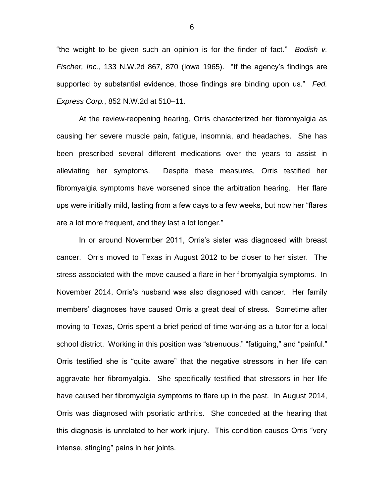"the weight to be given such an opinion is for the finder of fact." *Bodish v. Fischer, Inc.*, 133 N.W.2d 867, 870 (Iowa 1965). "If the agency's findings are supported by substantial evidence, those findings are binding upon us." *Fed. Express Corp.*, 852 N.W.2d at 510–11.

At the review-reopening hearing, Orris characterized her fibromyalgia as causing her severe muscle pain, fatigue, insomnia, and headaches. She has been prescribed several different medications over the years to assist in alleviating her symptoms. Despite these measures, Orris testified her fibromyalgia symptoms have worsened since the arbitration hearing. Her flare ups were initially mild, lasting from a few days to a few weeks, but now her "flares are a lot more frequent, and they last a lot longer."

In or around Novermber 2011, Orris's sister was diagnosed with breast cancer. Orris moved to Texas in August 2012 to be closer to her sister. The stress associated with the move caused a flare in her fibromyalgia symptoms. In November 2014, Orris's husband was also diagnosed with cancer. Her family members' diagnoses have caused Orris a great deal of stress. Sometime after moving to Texas, Orris spent a brief period of time working as a tutor for a local school district. Working in this position was "strenuous," "fatiguing," and "painful." Orris testified she is "quite aware" that the negative stressors in her life can aggravate her fibromyalgia. She specifically testified that stressors in her life have caused her fibromyalgia symptoms to flare up in the past. In August 2014, Orris was diagnosed with psoriatic arthritis. She conceded at the hearing that this diagnosis is unrelated to her work injury. This condition causes Orris "very intense, stinging" pains in her joints.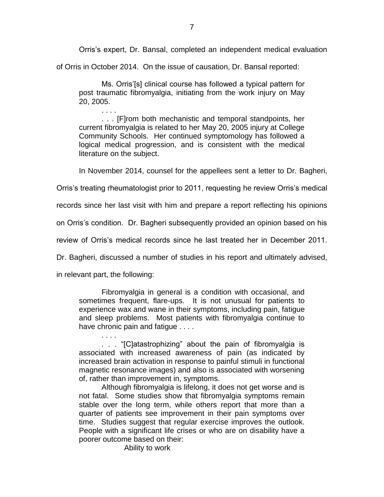Orris's expert, Dr. Bansal, completed an independent medical evaluation

of Orris in October 2014. On the issue of causation, Dr. Bansal reported:

Ms. Orris'[s] clinical course has followed a typical pattern for post traumatic fibromyalgia, initiating from the work injury on May 20, 2005.

. . . . . . . [F]rom both mechanistic and temporal standpoints, her current fibromyalgia is related to her May 20, 2005 injury at College Community Schools. Her continued symptomology has followed a logical medical progression, and is consistent with the medical literature on the subject.

In November 2014, counsel for the appellees sent a letter to Dr. Bagheri,

Orris's treating rheumatologist prior to 2011, requesting he review Orris's medical

records since her last visit with him and prepare a report reflecting his opinions

on Orris's condition. Dr. Bagheri subsequently provided an opinion based on his

review of Orris's medical records since he last treated her in December 2011.

Dr. Bagheri, discussed a number of studies in his report and ultimately advised,

in relevant part, the following:

Fibromyalgia in general is a condition with occasional, and sometimes frequent, flare-ups. It is not unusual for patients to experience wax and wane in their symptoms, including pain, fatigue and sleep problems. Most patients with fibromyalgia continue to have chronic pain and fatigue . . . .

. . . . . . . "[C]atastrophizing" about the pain of fibromyalgia is associated with increased awareness of pain (as indicated by increased brain activation in response to painful stimuli in functional magnetic resonance images) and also is associated with worsening of, rather than improvement in, symptoms.

Although fibromyalgia is lifelong, it does not get worse and is not fatal. Some studies show that fibromyalgia symptoms remain stable over the long term, while others report that more than a quarter of patients see improvement in their pain symptoms over time. Studies suggest that regular exercise improves the outlook. People with a significant life crises or who are on disability have a poorer outcome based on their:

Ability to work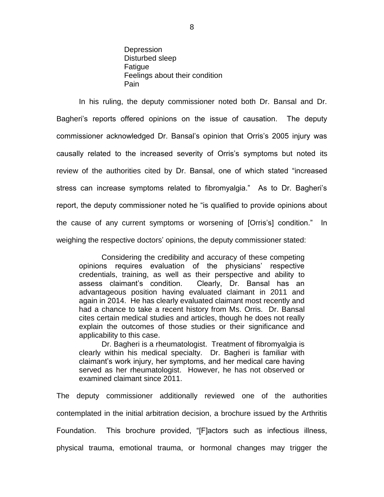**Depression** Disturbed sleep Fatigue Feelings about their condition Pain

In his ruling, the deputy commissioner noted both Dr. Bansal and Dr. Bagheri's reports offered opinions on the issue of causation. The deputy commissioner acknowledged Dr. Bansal's opinion that Orris's 2005 injury was causally related to the increased severity of Orris's symptoms but noted its review of the authorities cited by Dr. Bansal, one of which stated "increased stress can increase symptoms related to fibromyalgia." As to Dr. Bagheri's report, the deputy commissioner noted he "is qualified to provide opinions about the cause of any current symptoms or worsening of [Orris's] condition." In weighing the respective doctors' opinions, the deputy commissioner stated:

Considering the credibility and accuracy of these competing opinions requires evaluation of the physicians' respective credentials, training, as well as their perspective and ability to assess claimant's condition. Clearly, Dr. Bansal has an advantageous position having evaluated claimant in 2011 and again in 2014. He has clearly evaluated claimant most recently and had a chance to take a recent history from Ms. Orris. Dr. Bansal cites certain medical studies and articles, though he does not really explain the outcomes of those studies or their significance and applicability to this case.

Dr. Bagheri is a rheumatologist. Treatment of fibromyalgia is clearly within his medical specialty. Dr. Bagheri is familiar with claimant's work injury, her symptoms, and her medical care having served as her rheumatologist. However, he has not observed or examined claimant since 2011.

The deputy commissioner additionally reviewed one of the authorities contemplated in the initial arbitration decision, a brochure issued by the Arthritis Foundation. This brochure provided, "[F]actors such as infectious illness, physical trauma, emotional trauma, or hormonal changes may trigger the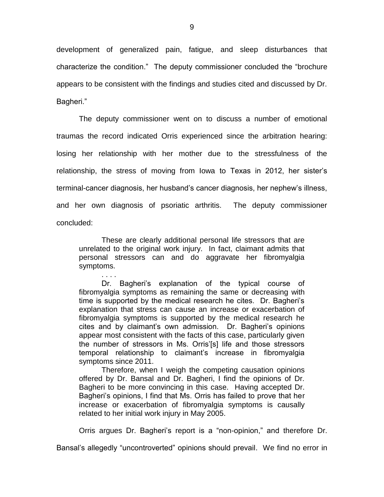development of generalized pain, fatigue, and sleep disturbances that characterize the condition." The deputy commissioner concluded the "brochure appears to be consistent with the findings and studies cited and discussed by Dr. Bagheri."

The deputy commissioner went on to discuss a number of emotional traumas the record indicated Orris experienced since the arbitration hearing: losing her relationship with her mother due to the stressfulness of the relationship, the stress of moving from Iowa to Texas in 2012, her sister's terminal-cancer diagnosis, her husband's cancer diagnosis, her nephew's illness, and her own diagnosis of psoriatic arthritis. The deputy commissioner concluded:

These are clearly additional personal life stressors that are unrelated to the original work injury. In fact, claimant admits that personal stressors can and do aggravate her fibromyalgia symptoms.

. . . . Dr. Bagheri's explanation of the typical course of fibromyalgia symptoms as remaining the same or decreasing with time is supported by the medical research he cites. Dr. Bagheri's explanation that stress can cause an increase or exacerbation of fibromyalgia symptoms is supported by the medical research he cites and by claimant's own admission. Dr. Bagheri's opinions appear most consistent with the facts of this case, particularly given the number of stressors in Ms. Orris'[s] life and those stressors temporal relationship to claimant's increase in fibromyalgia symptoms since 2011.

Therefore, when I weigh the competing causation opinions offered by Dr. Bansal and Dr. Bagheri, I find the opinions of Dr. Bagheri to be more convincing in this case. Having accepted Dr. Bagheri's opinions, I find that Ms. Orris has failed to prove that her increase or exacerbation of fibromyalgia symptoms is causally related to her initial work injury in May 2005.

Orris argues Dr. Bagheri's report is a "non-opinion," and therefore Dr.

Bansal's allegedly "uncontroverted" opinions should prevail. We find no error in